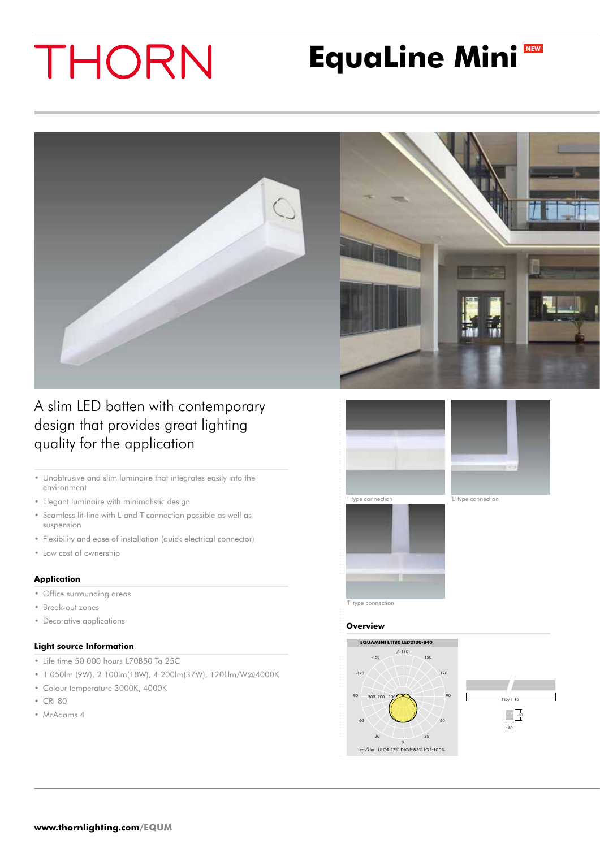# THORN

## **EquaLine Mini NEW**



A slim LED batten with contemporary design that provides great lighting quality for the application

- • Unobtrusive and slim luminaire that integrates easily into the environment
- • Elegant luminaire with minimalistic design
- • Seamless lit-line with L and T connection possible as well as suspension
- Flexibility and ease of installation (quick electrical connector)
- Low cost of ownership

#### **Application**

- Office surrounding areas
- • Break-out zones
- • Decorative applications

### **Light source Information**

- • Life time 50 000 hours L70B50 Ta 25C
- • 1 050lm (9W), 2 100lm(18W), 4 200lm(37W), 120Llm/W@4000K
- • Colour temperature 3000K, 4000K
- • CRI 80
- McAdams 4





#### **Overview**